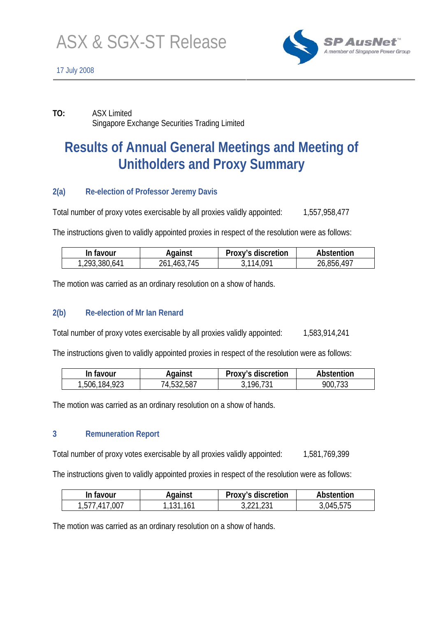

**TO:** ASX Limited Singapore Exchange Securities Trading Limited

# **Results of Annual General Meetings and Meeting of Unitholders and Proxy Summary**

## **2(a) Re-election of Professor Jeremy Davis**

Total number of proxy votes exercisable by all proxies validly appointed: 1,557,958,477

The instructions given to validly appointed proxies in respect of the resolution were as follows:

| In favour     | Against        | Proxy's discretion | Abstention |
|---------------|----------------|--------------------|------------|
| 1,293,380,641 | 745<br>261,463 | 3,114,091          | 26,856,497 |

The motion was carried as an ordinary resolution on a show of hands.

## **2(b) Re-election of Mr Ian Renard**

Total number of proxy votes exercisable by all proxies validly appointed: 1,583,914,241

The instructions given to validly appointed proxies in respect of the resolution were as follows:

| In favour        | Against    | Proxy's discretion | Abstention |
|------------------|------------|--------------------|------------|
| 184,923<br>,506, | 74,532,587 | 196                | 900,733    |

The motion was carried as an ordinary resolution on a show of hands.

## **3 Remuneration Report**

Total number of proxy votes exercisable by all proxies validly appointed: 1,581,769,399

The instructions given to validly appointed proxies in respect of the resolution were as follows:

| In favour    | Against  | Proxy's discretion | Abstention |
|--------------|----------|--------------------|------------|
| ,577,417,007 | .131,161 |                    | 3,045,575  |

The motion was carried as an ordinary resolution on a show of hands.